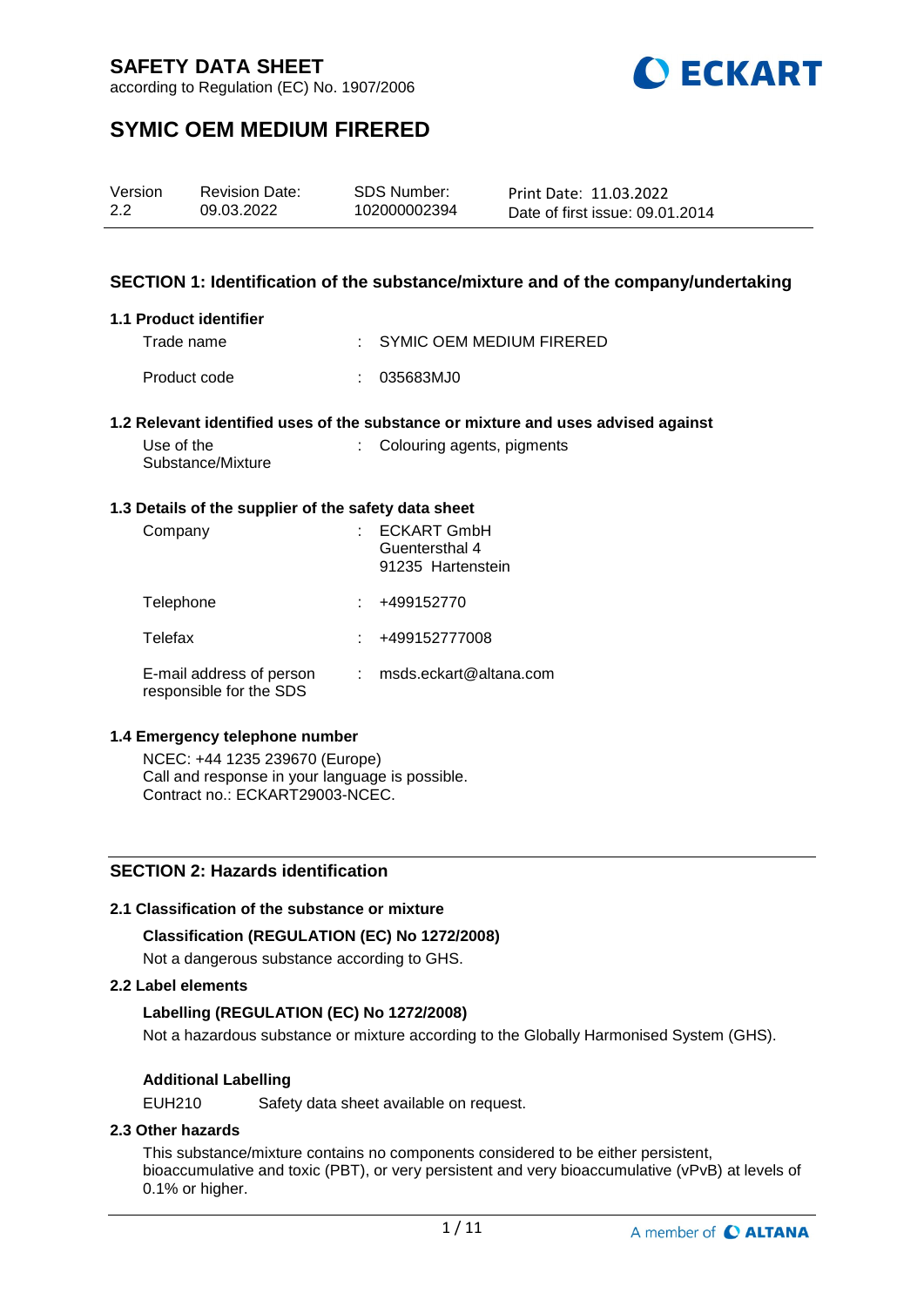

according to Regulation (EC) No. 1907/2006

# **SYMIC OEM MEDIUM FIRERED**

| Version | <b>Revision Date:</b> | <b>SDS Number:</b> | Print Date: 11.03.2022          |
|---------|-----------------------|--------------------|---------------------------------|
| 2.2     | 09.03.2022            | 102000002394       | Date of first issue: 09.01.2014 |

## **SECTION 1: Identification of the substance/mixture and of the company/undertaking**

#### **1.1 Product identifier**

| Trade name   | $\therefore$ SYMIC OEM MEDIUM FIRERED |
|--------------|---------------------------------------|
| Product code | : 035683MJ0                           |

#### **1.2 Relevant identified uses of the substance or mixture and uses advised against**

| Use of the        | : Colouring agents, pigments |
|-------------------|------------------------------|
| Substance/Mixture |                              |

#### **1.3 Details of the supplier of the safety data sheet**

| Company                                             | <b>ECKART GmbH</b><br>Guentersthal 4<br>91235 Hartenstein |
|-----------------------------------------------------|-----------------------------------------------------------|
| Telephone                                           | +499152770                                                |
| Telefax                                             | +499152777008                                             |
| E-mail address of person<br>responsible for the SDS | msds.eckart@altana.com                                    |

## **1.4 Emergency telephone number**

NCEC: +44 1235 239670 (Europe) Call and response in your language is possible. Contract no.: ECKART29003-NCEC.

## **SECTION 2: Hazards identification**

## **2.1 Classification of the substance or mixture**

## **Classification (REGULATION (EC) No 1272/2008)**

Not a dangerous substance according to GHS.

## **2.2 Label elements**

## **Labelling (REGULATION (EC) No 1272/2008)**

Not a hazardous substance or mixture according to the Globally Harmonised System (GHS).

## **Additional Labelling**

EUH210 Safety data sheet available on request.

## **2.3 Other hazards**

This substance/mixture contains no components considered to be either persistent, bioaccumulative and toxic (PBT), or very persistent and very bioaccumulative (vPvB) at levels of 0.1% or higher.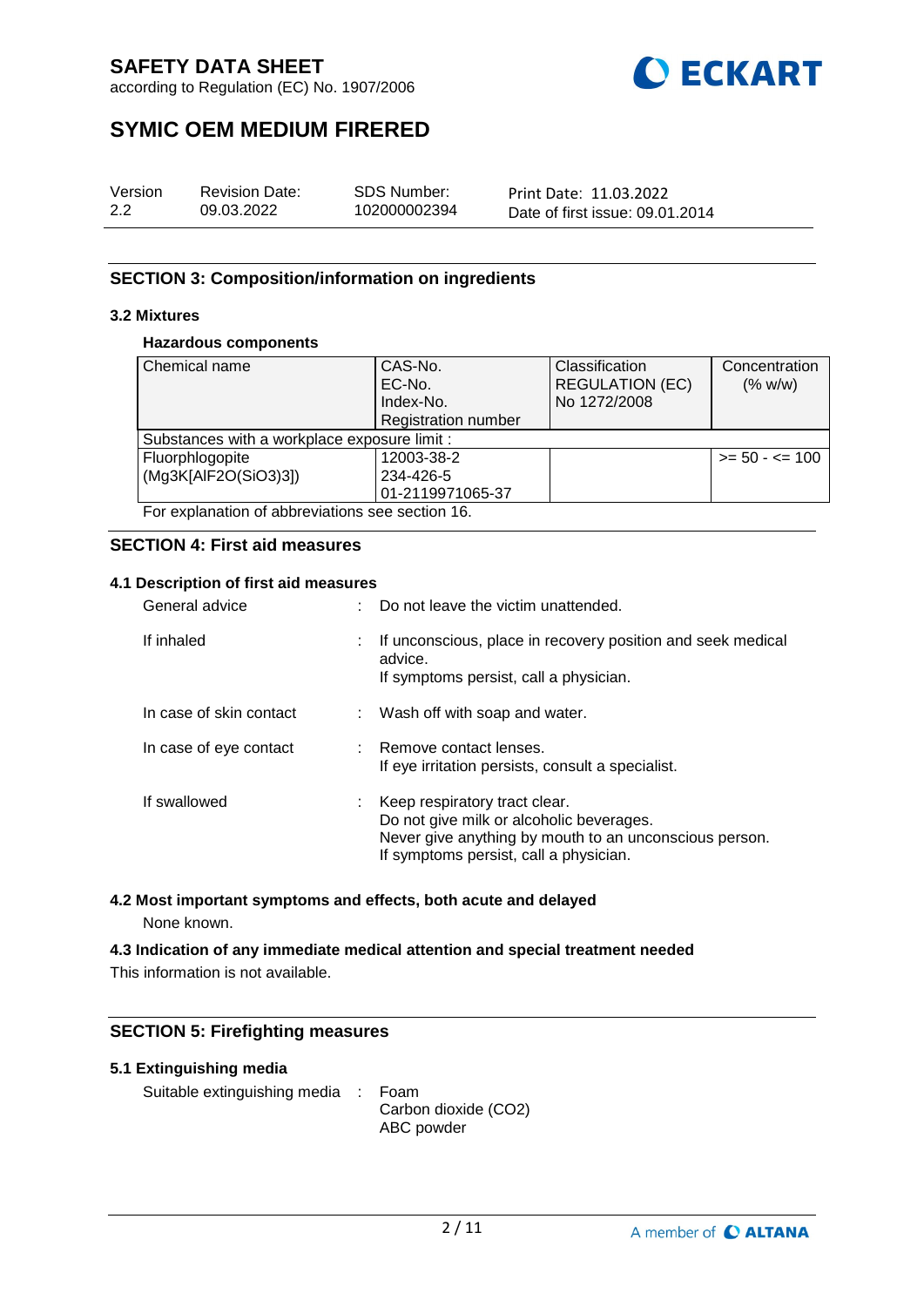

according to Regulation (EC) No. 1907/2006

# **SYMIC OEM MEDIUM FIRERED**

| Version | <b>Revision Date:</b> | <b>SDS Number:</b> | Print Date: 11.03.2022          |
|---------|-----------------------|--------------------|---------------------------------|
| 2.2     | 09.03.2022            | 102000002394       | Date of first issue: 09.01.2014 |

## **SECTION 3: Composition/information on ingredients**

## **3.2 Mixtures**

## **Hazardous components**

| Chemical name                                   | CAS-No.                    | Classification         | Concentration     |
|-------------------------------------------------|----------------------------|------------------------|-------------------|
| EC-No.                                          |                            | <b>REGULATION (EC)</b> | (% w/w)           |
|                                                 | Index-No.                  | No 1272/2008           |                   |
|                                                 | <b>Registration number</b> |                        |                   |
| Substances with a workplace exposure limit :    |                            |                        |                   |
| Fluorphlogopite                                 | 12003-38-2                 |                        | $>= 50 - 5 = 100$ |
| (Mg3K[AlF2O(SiO3)3])                            | 234-426-5                  |                        |                   |
|                                                 | 01-2119971065-37           |                        |                   |
| For explanation of abbreviations see section 16 |                            |                        |                   |

For explanation of abbreviations see section 16.

## **SECTION 4: First aid measures**

## **4.1 Description of first aid measures**

| General advice          |    | Do not leave the victim unattended.                                                                                                                                           |
|-------------------------|----|-------------------------------------------------------------------------------------------------------------------------------------------------------------------------------|
| If inhaled              | t. | If unconscious, place in recovery position and seek medical<br>advice.<br>If symptoms persist, call a physician.                                                              |
| In case of skin contact |    | : Wash off with soap and water.                                                                                                                                               |
| In case of eye contact  |    | : Remove contact lenses.<br>If eye irritation persists, consult a specialist.                                                                                                 |
| If swallowed            |    | Keep respiratory tract clear.<br>Do not give milk or alcoholic beverages.<br>Never give anything by mouth to an unconscious person.<br>If symptoms persist, call a physician. |

## **4.2 Most important symptoms and effects, both acute and delayed**

None known.

**4.3 Indication of any immediate medical attention and special treatment needed** This information is not available.

## **SECTION 5: Firefighting measures**

## **5.1 Extinguishing media**

Suitable extinguishing media : Foam

Carbon dioxide (CO2) ABC powder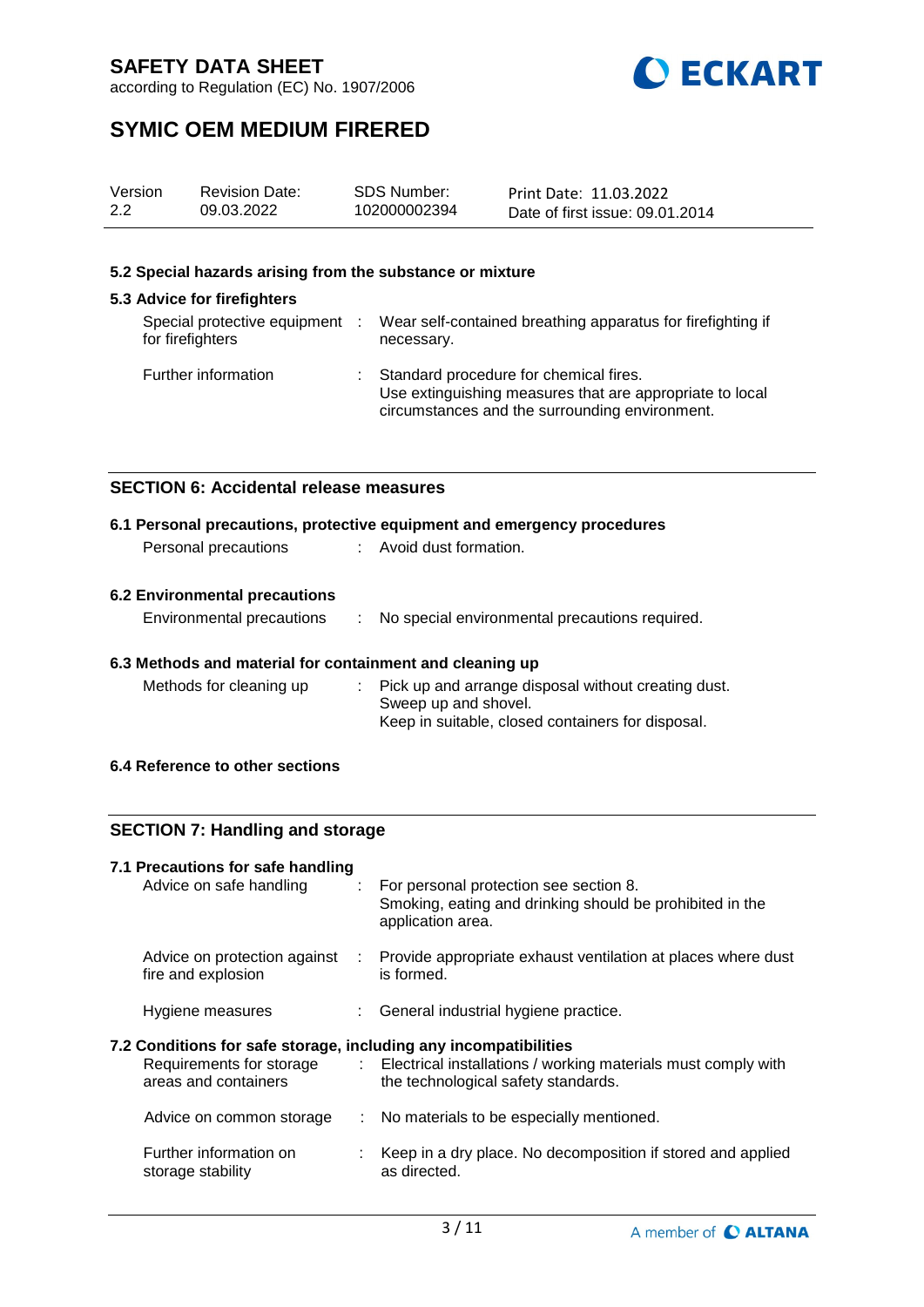

according to Regulation (EC) No. 1907/2006

# **SYMIC OEM MEDIUM FIRERED**

| Version | <b>Revision Date:</b> | SDS Number:  | Print Date: 11.03.2022          |
|---------|-----------------------|--------------|---------------------------------|
| 2.2     | 09.03.2022            | 102000002394 | Date of first issue: 09.01.2014 |

#### **5.2 Special hazards arising from the substance or mixture**

## **5.3 Advice for firefighters**

| Special protective equipment :<br>for firefighters | Wear self-contained breathing apparatus for firefighting if<br>necessary.                                                                            |
|----------------------------------------------------|------------------------------------------------------------------------------------------------------------------------------------------------------|
| Further information                                | Standard procedure for chemical fires.<br>Use extinguishing measures that are appropriate to local<br>circumstances and the surrounding environment. |

## **SECTION 6: Accidental release measures**

|                      | 6.1 Personal precautions, protective equipment and emergency procedures |
|----------------------|-------------------------------------------------------------------------|
| Personal precautions | Avoid dust formation.                                                   |
|                      |                                                                         |

## **6.2 Environmental precautions**

| Environmental precautions |  | No special environmental precautions required. |
|---------------------------|--|------------------------------------------------|
|---------------------------|--|------------------------------------------------|

## **6.3 Methods and material for containment and cleaning up**

| Methods for cleaning up | : Pick up and arrange disposal without creating dust. |
|-------------------------|-------------------------------------------------------|
|                         | Sweep up and shovel.                                  |
|                         | Keep in suitable, closed containers for disposal.     |

## **6.4 Reference to other sections**

## **SECTION 7: Handling and storage**

| 7.1 Precautions for safe handling<br>Advice on safe handling                             |     | : For personal protection see section 8.<br>Smoking, eating and drinking should be prohibited in the<br>application area.       |
|------------------------------------------------------------------------------------------|-----|---------------------------------------------------------------------------------------------------------------------------------|
| Advice on protection against<br>fire and explosion                                       | -11 | Provide appropriate exhaust ventilation at places where dust<br>is formed.                                                      |
| Hygiene measures                                                                         |     | : General industrial hygiene practice.                                                                                          |
| 7.2 Conditions for safe storage, including any incompatibilities<br>areas and containers |     | Requirements for storage : Electrical installations / working materials must comply with<br>the technological safety standards. |
|                                                                                          |     |                                                                                                                                 |
| Advice on common storage                                                                 |     | : No materials to be especially mentioned.                                                                                      |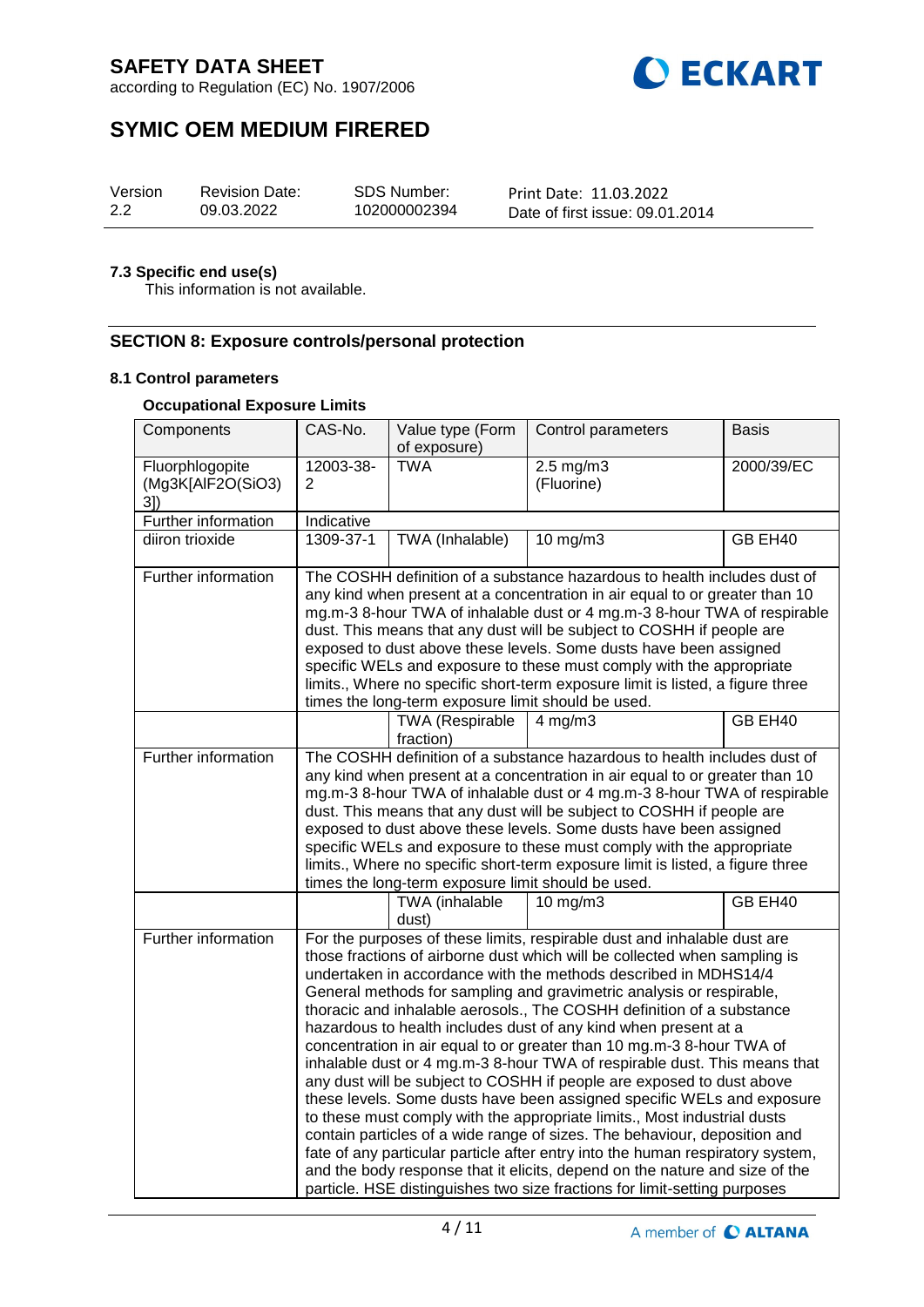

according to Regulation (EC) No. 1907/2006

# **SYMIC OEM MEDIUM FIRERED**

| Version | <b>Revision Date:</b> | SDS Number:  | Print Date: 11.03.2022          |
|---------|-----------------------|--------------|---------------------------------|
| 2.2     | 09.03.2022            | 102000002394 | Date of first issue: 09.01.2014 |

## **7.3 Specific end use(s)**

This information is not available.

## **SECTION 8: Exposure controls/personal protection**

#### **8.1 Control parameters**

#### **Occupational Exposure Limits**

| Components                                  | CAS-No.                                                                                                                                                                                                                                                                                                                                                                                                                                                                                                                                                                                                                                                                                                                                                                                                                                                                                                                                                                                                                                                                                                                                                      | Value type (Form<br>of exposure)    | Control parameters                 | <b>Basis</b> |  |
|---------------------------------------------|--------------------------------------------------------------------------------------------------------------------------------------------------------------------------------------------------------------------------------------------------------------------------------------------------------------------------------------------------------------------------------------------------------------------------------------------------------------------------------------------------------------------------------------------------------------------------------------------------------------------------------------------------------------------------------------------------------------------------------------------------------------------------------------------------------------------------------------------------------------------------------------------------------------------------------------------------------------------------------------------------------------------------------------------------------------------------------------------------------------------------------------------------------------|-------------------------------------|------------------------------------|--------------|--|
| Fluorphlogopite<br>(Mg3K[AlF2O(SiO3)<br>3]) | 12003-38-<br>2                                                                                                                                                                                                                                                                                                                                                                                                                                                                                                                                                                                                                                                                                                                                                                                                                                                                                                                                                                                                                                                                                                                                               | <b>TWA</b>                          | $2.5 \text{ mg/m}$ 3<br>(Fluorine) | 2000/39/EC   |  |
| <b>Further information</b>                  | Indicative                                                                                                                                                                                                                                                                                                                                                                                                                                                                                                                                                                                                                                                                                                                                                                                                                                                                                                                                                                                                                                                                                                                                                   |                                     |                                    |              |  |
| diiron trioxide                             | 1309-37-1                                                                                                                                                                                                                                                                                                                                                                                                                                                                                                                                                                                                                                                                                                                                                                                                                                                                                                                                                                                                                                                                                                                                                    | <b>TWA</b> (Inhalable)              | 10 mg/m3                           | GB EH40      |  |
| Further information                         | The COSHH definition of a substance hazardous to health includes dust of<br>any kind when present at a concentration in air equal to or greater than 10<br>mg.m-3 8-hour TWA of inhalable dust or 4 mg.m-3 8-hour TWA of respirable<br>dust. This means that any dust will be subject to COSHH if people are<br>exposed to dust above these levels. Some dusts have been assigned<br>specific WELs and exposure to these must comply with the appropriate<br>limits., Where no specific short-term exposure limit is listed, a figure three<br>times the long-term exposure limit should be used.                                                                                                                                                                                                                                                                                                                                                                                                                                                                                                                                                            |                                     |                                    |              |  |
|                                             |                                                                                                                                                                                                                                                                                                                                                                                                                                                                                                                                                                                                                                                                                                                                                                                                                                                                                                                                                                                                                                                                                                                                                              | <b>TWA (Respirable</b><br>fraction) | $4$ mg/m $3$                       | GB EH40      |  |
| <b>Further information</b>                  | The COSHH definition of a substance hazardous to health includes dust of<br>any kind when present at a concentration in air equal to or greater than 10<br>mg.m-3 8-hour TWA of inhalable dust or 4 mg.m-3 8-hour TWA of respirable<br>dust. This means that any dust will be subject to COSHH if people are<br>exposed to dust above these levels. Some dusts have been assigned<br>specific WELs and exposure to these must comply with the appropriate<br>limits., Where no specific short-term exposure limit is listed, a figure three<br>times the long-term exposure limit should be used.                                                                                                                                                                                                                                                                                                                                                                                                                                                                                                                                                            |                                     |                                    |              |  |
|                                             |                                                                                                                                                                                                                                                                                                                                                                                                                                                                                                                                                                                                                                                                                                                                                                                                                                                                                                                                                                                                                                                                                                                                                              | TWA (inhalable<br>dust)             | $10$ mg/m $3$                      | GB EH40      |  |
| <b>Further information</b>                  | For the purposes of these limits, respirable dust and inhalable dust are<br>those fractions of airborne dust which will be collected when sampling is<br>undertaken in accordance with the methods described in MDHS14/4<br>General methods for sampling and gravimetric analysis or respirable,<br>thoracic and inhalable aerosols., The COSHH definition of a substance<br>hazardous to health includes dust of any kind when present at a<br>concentration in air equal to or greater than 10 mg.m-3 8-hour TWA of<br>inhalable dust or 4 mg.m-3 8-hour TWA of respirable dust. This means that<br>any dust will be subject to COSHH if people are exposed to dust above<br>these levels. Some dusts have been assigned specific WELs and exposure<br>to these must comply with the appropriate limits., Most industrial dusts<br>contain particles of a wide range of sizes. The behaviour, deposition and<br>fate of any particular particle after entry into the human respiratory system,<br>and the body response that it elicits, depend on the nature and size of the<br>particle. HSE distinguishes two size fractions for limit-setting purposes |                                     |                                    |              |  |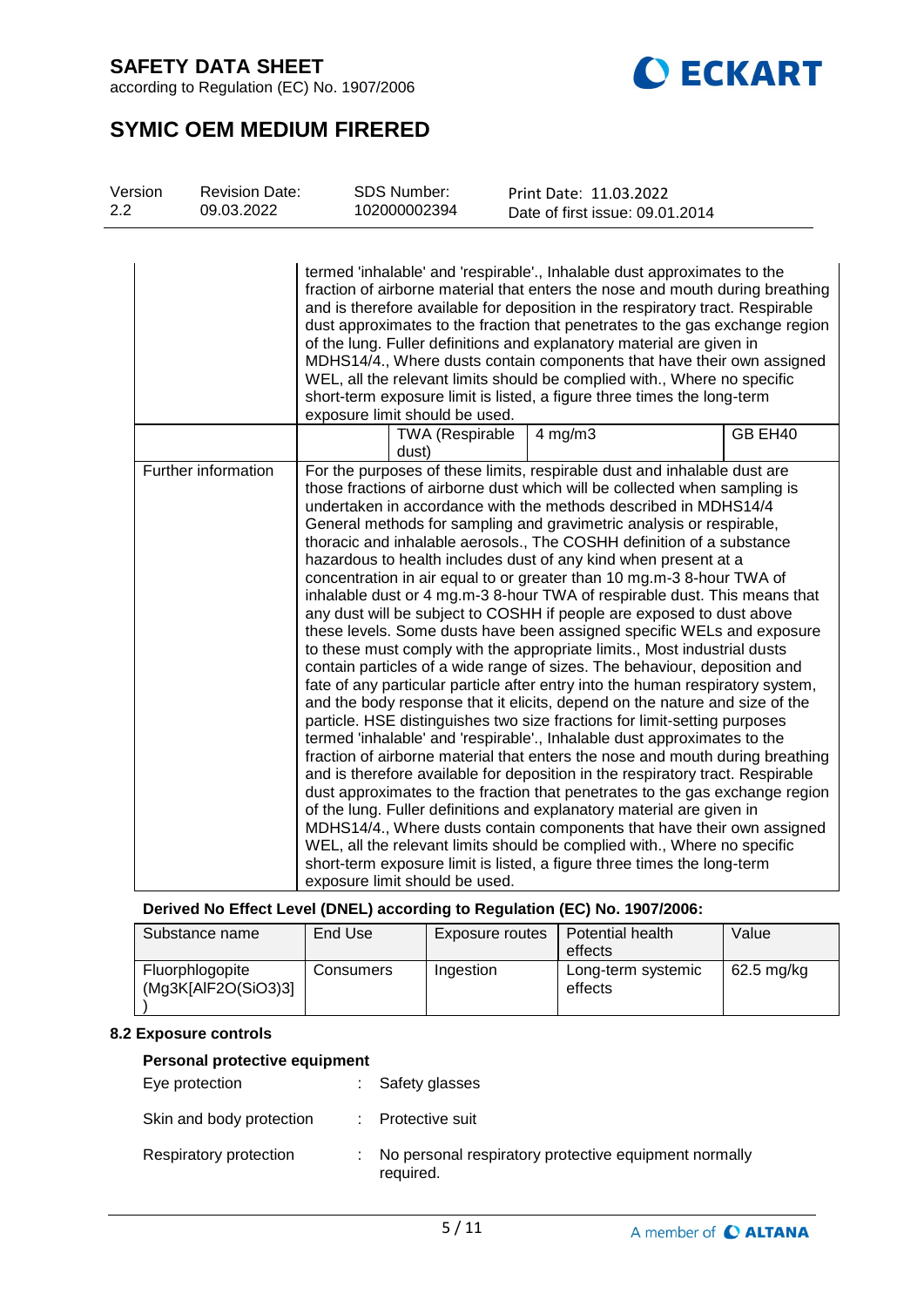according to Regulation (EC) No. 1907/2006



# **SYMIC OEM MEDIUM FIRERED**

| Version<br>2.2 | <b>Revision Date:</b><br>09.03.2022 | <b>SDS Number:</b><br>102000002394 |                 | Print Date: 11.03.2022<br>Date of first issue: 09.01.2014                                                                                                                                                                                                                                                                                                                                                                                                                                                                                                                                                                                                                                                                                                                                                                                                                                                                                                                                                                                                                                                                                        |                                                                                                                                                                                                                                                                                                                                                                                                                                                                                                                                                                                                                                                   |  |
|----------------|-------------------------------------|------------------------------------|-----------------|--------------------------------------------------------------------------------------------------------------------------------------------------------------------------------------------------------------------------------------------------------------------------------------------------------------------------------------------------------------------------------------------------------------------------------------------------------------------------------------------------------------------------------------------------------------------------------------------------------------------------------------------------------------------------------------------------------------------------------------------------------------------------------------------------------------------------------------------------------------------------------------------------------------------------------------------------------------------------------------------------------------------------------------------------------------------------------------------------------------------------------------------------|---------------------------------------------------------------------------------------------------------------------------------------------------------------------------------------------------------------------------------------------------------------------------------------------------------------------------------------------------------------------------------------------------------------------------------------------------------------------------------------------------------------------------------------------------------------------------------------------------------------------------------------------------|--|
|                |                                     | exposure limit should be used.     |                 | termed 'inhalable' and 'respirable'., Inhalable dust approximates to the<br>of the lung. Fuller definitions and explanatory material are given in<br>WEL, all the relevant limits should be complied with., Where no specific<br>short-term exposure limit is listed, a figure three times the long-term                                                                                                                                                                                                                                                                                                                                                                                                                                                                                                                                                                                                                                                                                                                                                                                                                                         | fraction of airborne material that enters the nose and mouth during breathing<br>and is therefore available for deposition in the respiratory tract. Respirable<br>dust approximates to the fraction that penetrates to the gas exchange region<br>MDHS14/4., Where dusts contain components that have their own assigned                                                                                                                                                                                                                                                                                                                         |  |
|                |                                     | dust)                              | TWA (Respirable | $4$ mg/m $3$                                                                                                                                                                                                                                                                                                                                                                                                                                                                                                                                                                                                                                                                                                                                                                                                                                                                                                                                                                                                                                                                                                                                     | GB EH40                                                                                                                                                                                                                                                                                                                                                                                                                                                                                                                                                                                                                                           |  |
|                | Further information                 | exposure limit should be used.     |                 | For the purposes of these limits, respirable dust and inhalable dust are<br>those fractions of airborne dust which will be collected when sampling is<br>undertaken in accordance with the methods described in MDHS14/4<br>General methods for sampling and gravimetric analysis or respirable,<br>thoracic and inhalable aerosols., The COSHH definition of a substance<br>hazardous to health includes dust of any kind when present at a<br>concentration in air equal to or greater than 10 mg.m-3 8-hour TWA of<br>any dust will be subject to COSHH if people are exposed to dust above<br>to these must comply with the appropriate limits., Most industrial dusts<br>contain particles of a wide range of sizes. The behaviour, deposition and<br>particle. HSE distinguishes two size fractions for limit-setting purposes<br>termed 'inhalable' and 'respirable'., Inhalable dust approximates to the<br>of the lung. Fuller definitions and explanatory material are given in<br>WEL, all the relevant limits should be complied with., Where no specific<br>short-term exposure limit is listed, a figure three times the long-term | inhalable dust or 4 mg.m-3 8-hour TWA of respirable dust. This means that<br>these levels. Some dusts have been assigned specific WELs and exposure<br>fate of any particular particle after entry into the human respiratory system,<br>and the body response that it elicits, depend on the nature and size of the<br>fraction of airborne material that enters the nose and mouth during breathing<br>and is therefore available for deposition in the respiratory tract. Respirable<br>dust approximates to the fraction that penetrates to the gas exchange region<br>MDHS14/4., Where dusts contain components that have their own assigned |  |

**Derived No Effect Level (DNEL) according to Regulation (EC) No. 1907/2006:**

| Substance name                         | End Use   | Exposure routes | Potential health              | Value      |
|----------------------------------------|-----------|-----------------|-------------------------------|------------|
|                                        |           |                 | effects                       |            |
| Fluorphlogopite<br>(Mg3K[AlF2O(SiO3)3] | Consumers | Ingestion       | Long-term systemic<br>effects | 62.5 mg/kg |
|                                        |           |                 |                               |            |

## **8.2 Exposure controls**

## **Personal protective equipment**

| Eye protection           | : Safety glasses  |
|--------------------------|-------------------|
| Skin and body protection | : Protective suit |

Respiratory protection : No personal respiratory protective equipment normally required.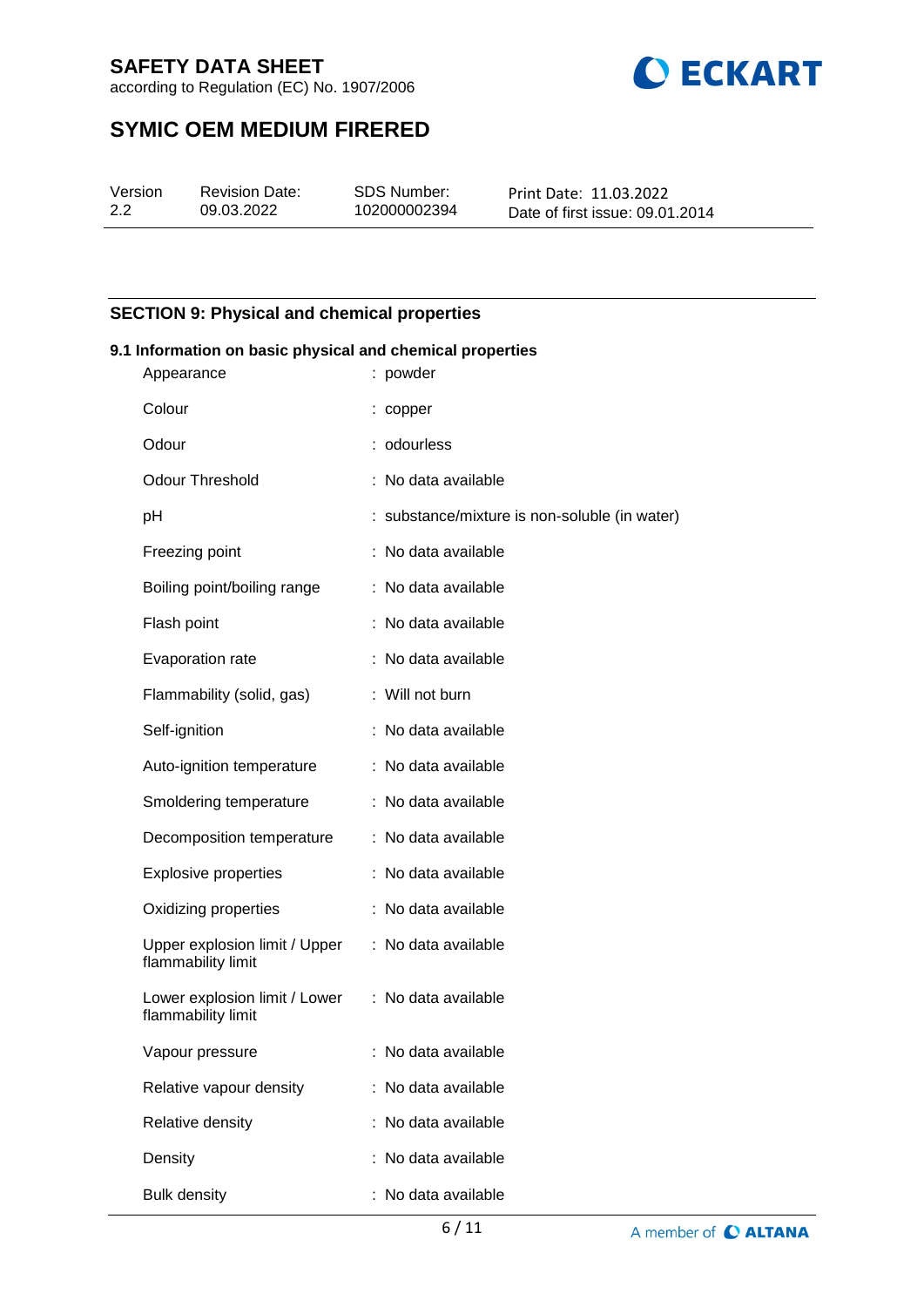

according to Regulation (EC) No. 1907/2006

# **SYMIC OEM MEDIUM FIRERED**

| Version | Re |
|---------|----|
| 2.2     | 09 |

evision Date: 09.03.2022

SDS Number: 102000002394 Print Date: 11.03.2022 Date of first issue: 09.01.2014

## **SECTION 9: Physical and chemical properties**

#### **9.1 Information on basic physical and chemical properties**

| Appearance                                          | : powder                                      |
|-----------------------------------------------------|-----------------------------------------------|
| Colour                                              | : copper                                      |
| Odour                                               | : odourless                                   |
| <b>Odour Threshold</b>                              | : No data available                           |
| рH                                                  | : substance/mixture is non-soluble (in water) |
| Freezing point                                      | : No data available                           |
| Boiling point/boiling range                         | : No data available                           |
| Flash point                                         | : No data available                           |
| Evaporation rate                                    | : No data available                           |
| Flammability (solid, gas)                           | : Will not burn                               |
| Self-ignition                                       | : No data available                           |
| Auto-ignition temperature                           | : No data available                           |
| Smoldering temperature                              | : No data available                           |
| Decomposition temperature                           | : No data available                           |
| <b>Explosive properties</b>                         | : No data available                           |
| Oxidizing properties                                | : No data available                           |
| Upper explosion limit / Upper<br>flammability limit | : No data available                           |
| Lower explosion limit / Lower<br>flammability limit | : No data available                           |
| Vapour pressure                                     | : No data available                           |
| Relative vapour density                             | : No data available                           |
| Relative density                                    | : No data available                           |
| Density                                             | : No data available                           |
| <b>Bulk density</b>                                 | No data available                             |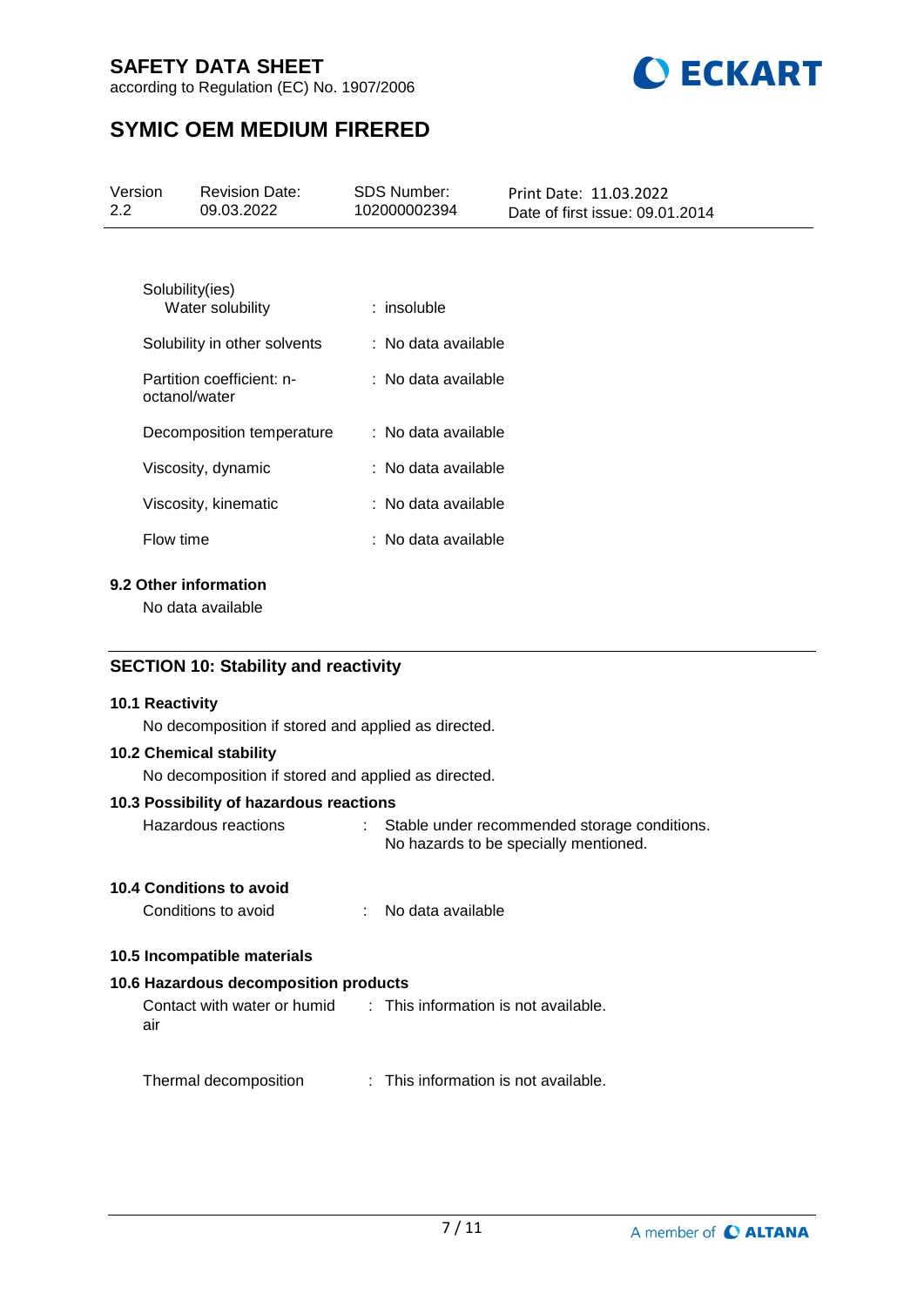according to Regulation (EC) No. 1907/2006



# **SYMIC OEM MEDIUM FIRERED**

| Version<br>2.2                             | <b>Revision Date:</b><br>09.03.2022                                    | <b>SDS Number:</b><br>102000002394 | Print Date: 11.03.2022<br>Date of first issue: 09.01.2014 |  |  |
|--------------------------------------------|------------------------------------------------------------------------|------------------------------------|-----------------------------------------------------------|--|--|
|                                            |                                                                        |                                    |                                                           |  |  |
|                                            | Solubility(ies)<br>Water solubility                                    | $:$ insoluble                      |                                                           |  |  |
|                                            | Solubility in other solvents                                           | : No data available                |                                                           |  |  |
|                                            | Partition coefficient: n-<br>octanol/water                             | : No data available                |                                                           |  |  |
|                                            | Decomposition temperature                                              | : No data available                |                                                           |  |  |
|                                            | Viscosity, dynamic                                                     | : No data available                |                                                           |  |  |
|                                            | Viscosity, kinematic                                                   | : No data available                |                                                           |  |  |
| Flow time                                  |                                                                        | : No data available                |                                                           |  |  |
| 9.2 Other information<br>No data available |                                                                        |                                    |                                                           |  |  |
|                                            | <b>SECTION 10: Stability and reactivity</b>                            |                                    |                                                           |  |  |
|                                            | 10.1 Reactivity<br>No decomposition if stored and applied as directed. |                                    |                                                           |  |  |

**10.2 Chemical stability**

No decomposition if stored and applied as directed.

## **10.3 Possibility of hazardous reactions**

| Hazardous reactions | Stable under recommended storage conditions. |
|---------------------|----------------------------------------------|
|                     | No hazards to be specially mentioned.        |

## **10.4 Conditions to avoid**

| No data available<br>Conditions to avoid |
|------------------------------------------|
|------------------------------------------|

## **10.5 Incompatible materials**

## **10.6 Hazardous decomposition products**

Contact with water or humid air : This information is not available.

Thermal decomposition : This information is not available.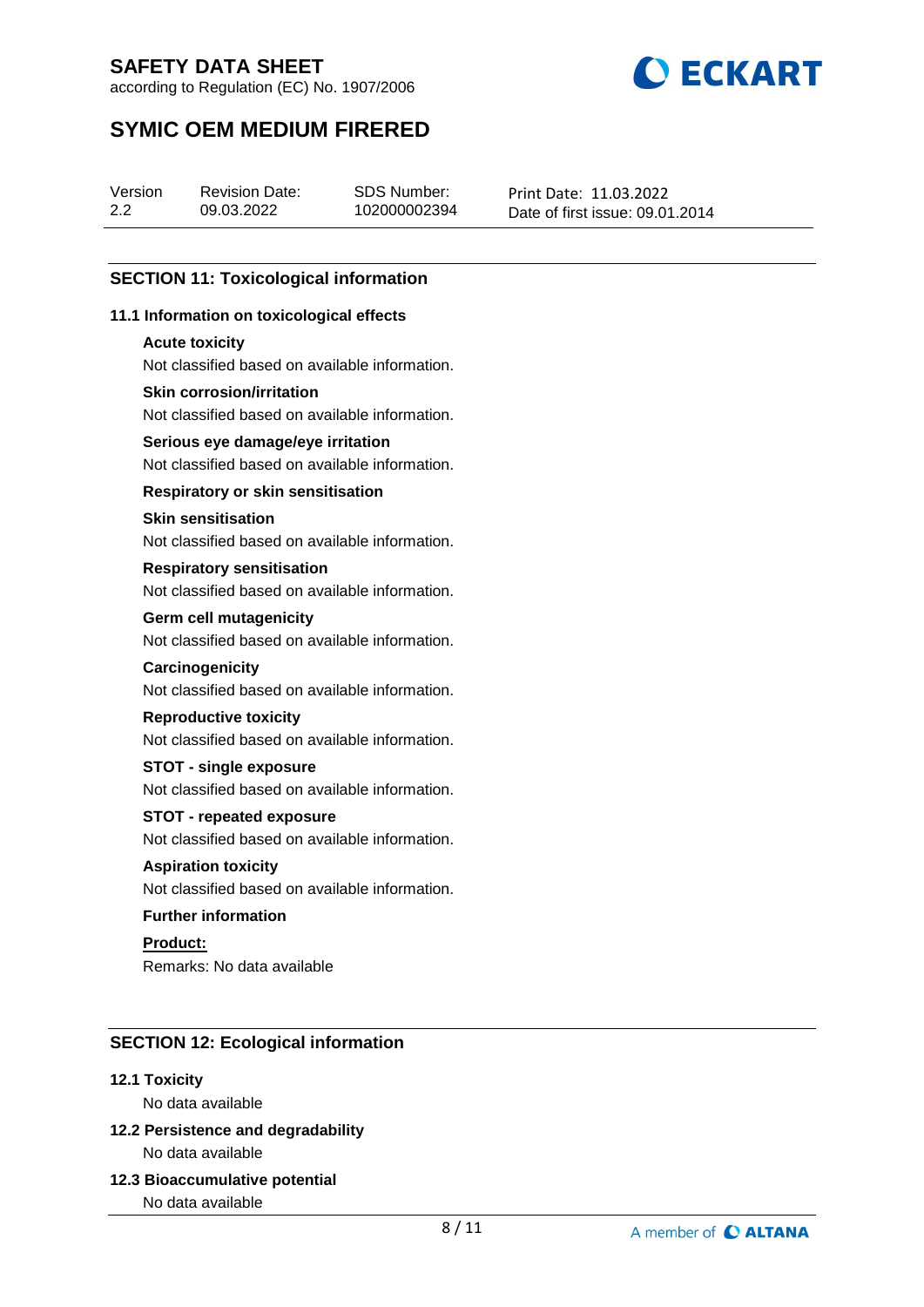according to Regulation (EC) No. 1907/2006



# **SYMIC OEM MEDIUM FIRERED**

| Version | <b>Revision Date:</b> | SDS Number:  | Print Date: 11.03.2022          |
|---------|-----------------------|--------------|---------------------------------|
| 2.2     | 09.03.2022            | 102000002394 | Date of first issue: 09.01.2014 |

## **SECTION 11: Toxicological information**

## **11.1 Information on toxicological effects**

#### **Acute toxicity**

Not classified based on available information.

## **Skin corrosion/irritation**

Not classified based on available information.

## **Serious eye damage/eye irritation**

Not classified based on available information.

## **Respiratory or skin sensitisation**

#### **Skin sensitisation**

Not classified based on available information.

#### **Respiratory sensitisation**

Not classified based on available information.

#### **Germ cell mutagenicity**

Not classified based on available information.

#### **Carcinogenicity**

Not classified based on available information.

#### **Reproductive toxicity**

Not classified based on available information.

## **STOT - single exposure**

Not classified based on available information.

#### **STOT - repeated exposure**

Not classified based on available information.

## **Aspiration toxicity**

Not classified based on available information.

## **Further information**

**Product:** Remarks: No data available

## **SECTION 12: Ecological information**

#### **12.1 Toxicity**

No data available

## **12.2 Persistence and degradability** No data available

**12.3 Bioaccumulative potential**

No data available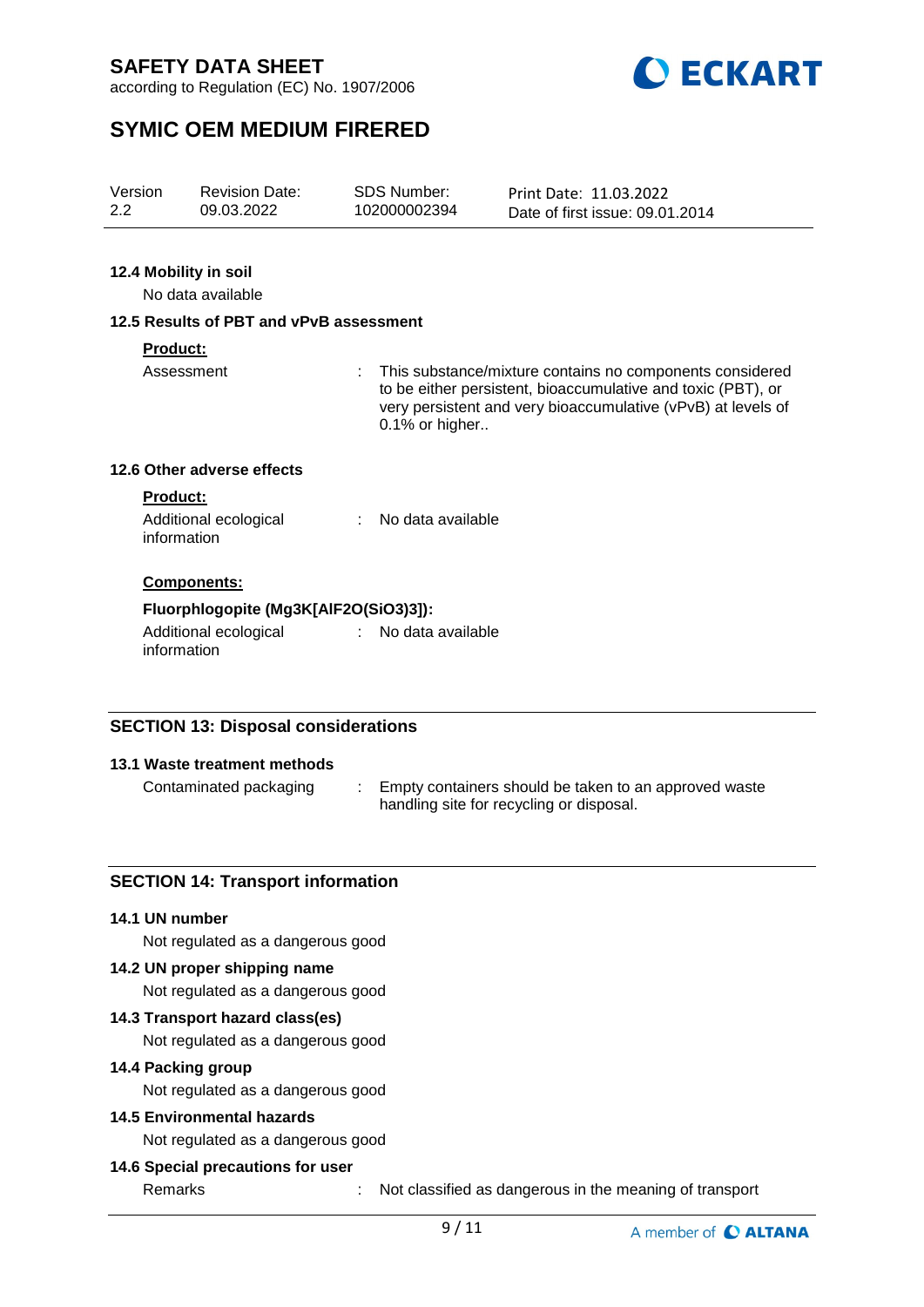according to Regulation (EC) No. 1907/2006



# **SYMIC OEM MEDIUM FIRERED**

| Version | <b>Revision Date:</b> | SDS Number:  | Print Date: 11.03.2022          |
|---------|-----------------------|--------------|---------------------------------|
| 2.2     | 09.03.2022            | 102000002394 | Date of first issue: 09.01.2014 |
|         |                       |              |                                 |

## **12.4 Mobility in soil**

No data available

## **12.5 Results of PBT and vPvB assessment**

#### **Product:**

Assessment : This substance/mixture contains no components considered to be either persistent, bioaccumulative and toxic (PBT), or very persistent and very bioaccumulative (vPvB) at levels of 0.1% or higher..

## **12.6 Other adverse effects**

#### **Product:**

| Additional ecological | No data available |
|-----------------------|-------------------|
| information           |                   |

## **Components:**

## **Fluorphlogopite (Mg3K[AlF2O(SiO3)3]):**

Additional ecological information : No data available

## **SECTION 13: Disposal considerations**

#### **13.1 Waste treatment methods**

Contaminated packaging : Empty containers should be taken to an approved waste handling site for recycling or disposal.

## **SECTION 14: Transport information**

#### **14.1 UN number**

Not regulated as a dangerous good

## **14.2 UN proper shipping name**

Not regulated as a dangerous good

#### **14.3 Transport hazard class(es)**

Not regulated as a dangerous good

#### **14.4 Packing group**

Not regulated as a dangerous good

## **14.5 Environmental hazards**

Not regulated as a dangerous good

## **14.6 Special precautions for user**

Remarks : Not classified as dangerous in the meaning of transport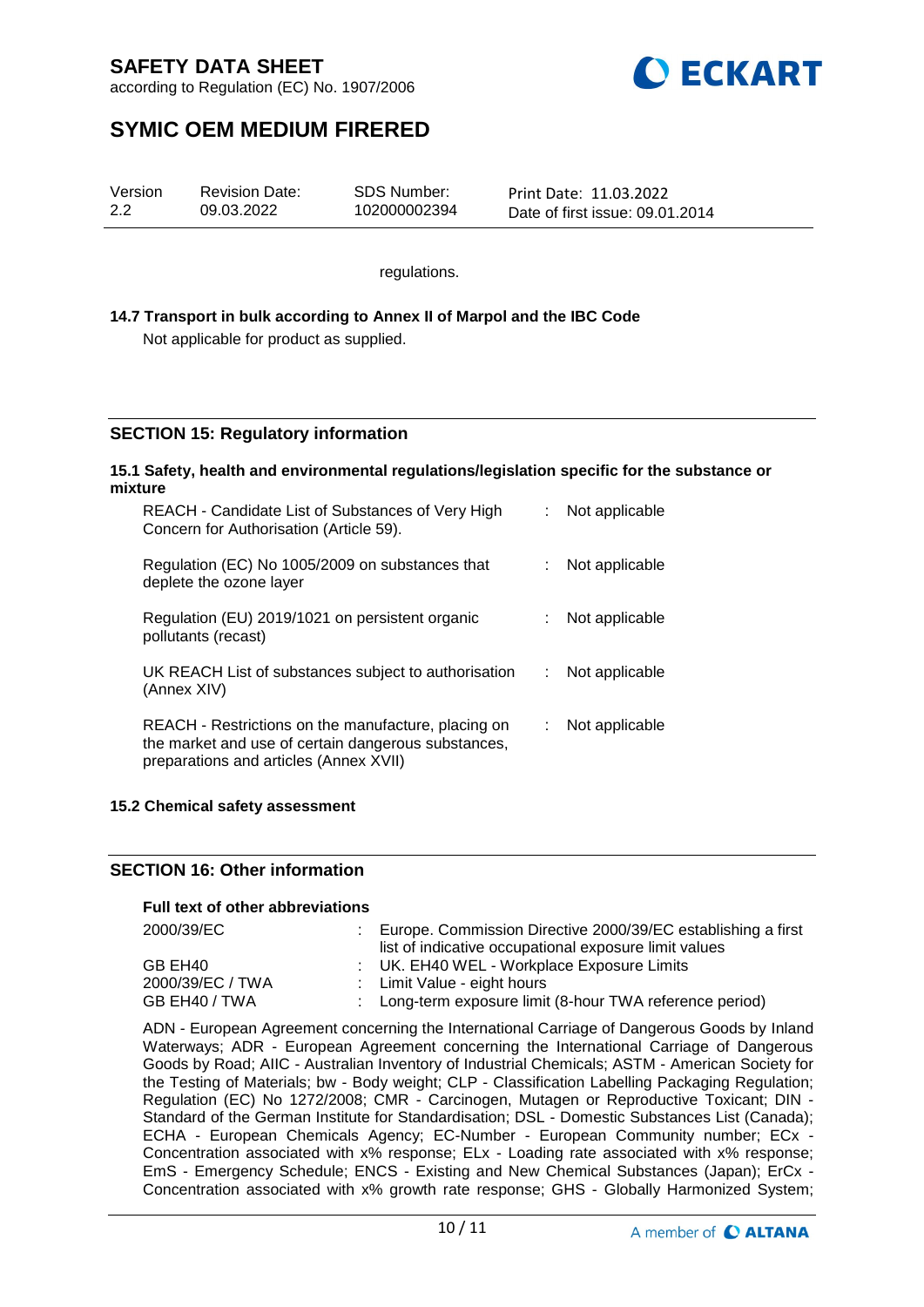

according to Regulation (EC) No. 1907/2006

# **SYMIC OEM MEDIUM FIRERED**

| Version | <b>Revision Date:</b> | SDS Number:  | Print Date: 11.03.2022          |
|---------|-----------------------|--------------|---------------------------------|
| 2.2     | 09.03.2022            | 102000002394 | Date of first issue: 09.01.2014 |

regulations.

## **14.7 Transport in bulk according to Annex II of Marpol and the IBC Code** Not applicable for product as supplied.

# **SECTION 15: Regulatory information**

#### **15.1 Safety, health and environmental regulations/legislation specific for the substance or mixture**

| REACH - Candidate List of Substances of Very High<br>Concern for Authorisation (Article 59).                                                         |    | Not applicable |
|------------------------------------------------------------------------------------------------------------------------------------------------------|----|----------------|
| Regulation (EC) No 1005/2009 on substances that<br>deplete the ozone layer                                                                           |    | Not applicable |
| Regulation (EU) 2019/1021 on persistent organic<br>pollutants (recast)                                                                               |    | Not applicable |
| UK REACH List of substances subject to authorisation<br>(Annex XIV)                                                                                  | t. | Not applicable |
| REACH - Restrictions on the manufacture, placing on<br>the market and use of certain dangerous substances,<br>preparations and articles (Annex XVII) |    | Not applicable |

#### **15.2 Chemical safety assessment**

## **SECTION 16: Other information**

## **Full text of other abbreviations**

| 2000/39/EC       | : Europe. Commission Directive 2000/39/EC establishing a first |
|------------------|----------------------------------------------------------------|
|                  | list of indicative occupational exposure limit values          |
| GB EH40          | : UK. EH40 WEL - Workplace Exposure Limits                     |
| 2000/39/EC / TWA | : Limit Value - eight hours                                    |
| GB EH40 / TWA    | : Long-term exposure limit (8-hour TWA reference period)       |

ADN - European Agreement concerning the International Carriage of Dangerous Goods by Inland Waterways; ADR - European Agreement concerning the International Carriage of Dangerous Goods by Road; AIIC - Australian Inventory of Industrial Chemicals; ASTM - American Society for the Testing of Materials; bw - Body weight; CLP - Classification Labelling Packaging Regulation; Regulation (EC) No 1272/2008; CMR - Carcinogen, Mutagen or Reproductive Toxicant; DIN - Standard of the German Institute for Standardisation; DSL - Domestic Substances List (Canada); ECHA - European Chemicals Agency; EC-Number - European Community number; ECx - Concentration associated with x% response; ELx - Loading rate associated with x% response; EmS - Emergency Schedule; ENCS - Existing and New Chemical Substances (Japan); ErCx - Concentration associated with x% growth rate response; GHS - Globally Harmonized System;